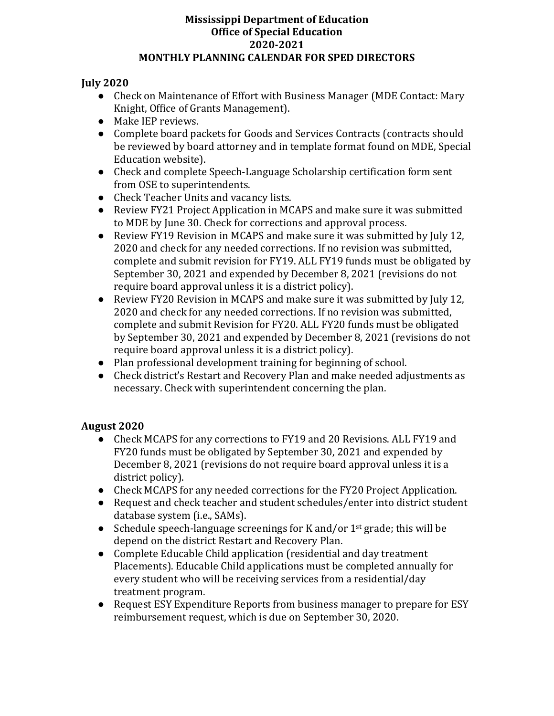### **July 2020**

- Check on Maintenance of Effort with Business Manager (MDE Contact: Mary Knight, Office of Grants Management).
- Make IEP reviews.
- Complete board packets for Goods and Services Contracts (contracts should be reviewed by board attorney and in template format found on MDE, Special Education website).
- Check and complete Speech-Language Scholarship certification form sent from OSE to superintendents.
- Check Teacher Units and vacancy lists.
- Review FY21 Project Application in MCAPS and make sure it was submitted to MDE by June 30. Check for corrections and approval process.
- Review FY19 Revision in MCAPS and make sure it was submitted by July 12. 2020 and check for any needed corrections. If no revision was submitted, complete and submit revision for FY19. ALL FY19 funds must be obligated by September 30, 2021 and expended by December 8, 2021 (revisions do not require board approval unless it is a district policy).
- Review FY20 Revision in MCAPS and make sure it was submitted by July 12, 2020 and check for any needed corrections. If no revision was submitted, complete and submit Revision for FY20. ALL FY20 funds must be obligated by September 30, 2021 and expended by December 8, 2021 (revisions do not require board approval unless it is a district policy).
- Plan professional development training for beginning of school.
- Check district's Restart and Recovery Plan and make needed adjustments as necessary. Check with superintendent concerning the plan.

## **August 2020**

- Check MCAPS for any corrections to FY19 and 20 Revisions. ALL FY19 and FY20 funds must be obligated by September 30, 2021 and expended by December 8, 2021 (revisions do not require board approval unless it is a district policy).
- Check MCAPS for any needed corrections for the FY20 Project Application.
- Request and check teacher and student schedules/enter into district student database system (i.e., SAMs).
- Schedule speech-language screenings for K and/or 1<sup>st</sup> grade; this will be depend on the district Restart and Recovery Plan.
- Complete Educable Child application (residential and day treatment Placements). Educable Child applications must be completed annually for every student who will be receiving services from a residential/day treatment program.
- Request ESY Expenditure Reports from business manager to prepare for ESY reimbursement request, which is due on September 30, 2020.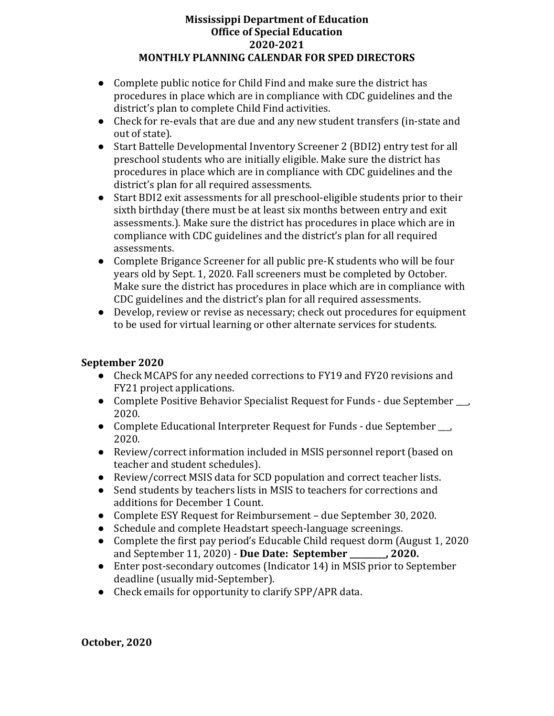- Complete public notice for Child Find and make sure the district has procedures in place which are in compliance with CDC guidelines and the district's plan to complete Child Find activities.
- Check for re-evals that are due and any new student transfers (in-state and out of state).
- Start Battelle Developmental Inventory Screener 2 (BDI2) entry test for all preschool students who are initially eligible. Make sure the district has procedures in place which are in compliance with CDC guidelines and the district's plan for all required assessments.
- Start BDI2 exit assessments for all preschool-eligible students prior to their sixth birthday (there must be at least six months between entry and exit assessments.). Make sure the district has procedures in place which are in compliance with CDC guidelines and the district's plan for all required assessments.
- Complete Brigance Screener for all public pre-K students who will be four years old by Sept. 1, 2020. Fall screeners must be completed by October. Make sure the district has procedures in place which are in compliance with CDC guidelines and the district's plan for all required assessments.
- Develop, review or revise as necessary; check out procedures for equipment to be used for virtual learning or other alternate services for students.

# **September 2020**

- Check MCAPS for any needed corrections to FY19 and FY20 revisions and FY21 project applications.
- Complete Positive Behavior Specialist Request for Funds due September \_\_\_, 2020.
- Complete Educational Interpreter Request for Funds due September, 2020.
- Review/correct information included in MSIS personnel report (based on teacher and student schedules).
- Review/correct MSIS data for SCD population and correct teacher lists.
- Send students by teachers lists in MSIS to teachers for corrections and additions for December 1 Count.
- Complete ESY Request for Reimbursement due September 30, 2020.
- Schedule and complete Headstart speech-language screenings.
- Complete the first pay period's Educable Child request dorm (August 1, 2020) and September 11, 2020) - **Due Date: September \_\_\_\_\_\_\_\_\_, 2020.**
- Enter post-secondary outcomes (Indicator 14) in MSIS prior to September deadline (usually mid-September).
- Check emails for opportunity to clarify SPP/APR data.

**October, 2020**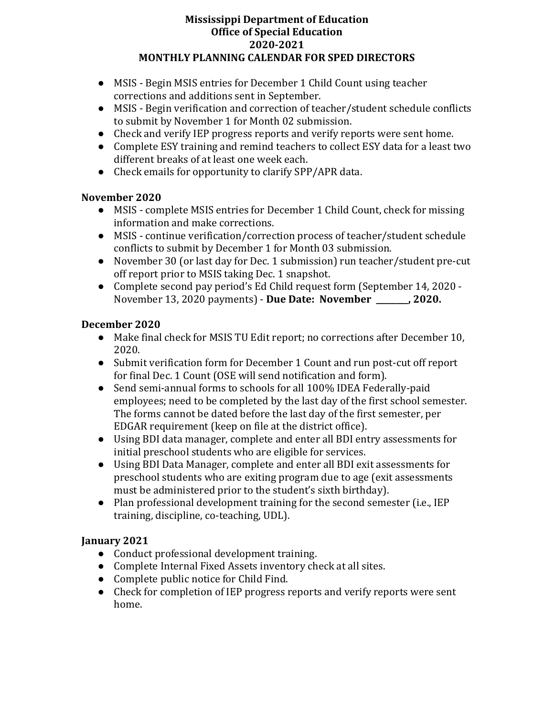- MSIS Begin MSIS entries for December 1 Child Count using teacher corrections and additions sent in September.
- MSIS Begin verification and correction of teacher/student schedule conflicts to submit by November 1 for Month 02 submission.
- Check and verify IEP progress reports and verify reports were sent home.
- Complete ESY training and remind teachers to collect ESY data for a least two different breaks of at least one week each.
- Check emails for opportunity to clarify SPP/APR data.

## **November 2020**

- MSIS complete MSIS entries for December 1 Child Count, check for missing information and make corrections.
- MSIS continue verification/correction process of teacher/student schedule conflicts to submit by December 1 for Month 03 submission.
- November 30 (or last day for Dec. 1 submission) run teacher/student pre-cut off report prior to MSIS taking Dec. 1 snapshot.
- Complete second pay period's Ed Child request form (September 14, 2020 November 13, 2020 payments) - **Due Date: November \_\_\_\_\_\_\_\_, 2020.**

## **December 2020**

- Make final check for MSIS TU Edit report; no corrections after December 10, 2020.
- Submit verification form for December 1 Count and run post-cut off report for final Dec. 1 Count (OSE will send notification and form).
- Send semi-annual forms to schools for all 100% IDEA Federally-paid employees; need to be completed by the last day of the first school semester. The forms cannot be dated before the last day of the first semester, per EDGAR requirement (keep on file at the district office).
- Using BDI data manager, complete and enter all BDI entry assessments for initial preschool students who are eligible for services.
- Using BDI Data Manager, complete and enter all BDI exit assessments for preschool students who are exiting program due to age (exit assessments must be administered prior to the student's sixth birthday).
- Plan professional development training for the second semester (i.e., IEP training, discipline, co-teaching, UDL).

## **January 2021**

- Conduct professional development training.
- Complete Internal Fixed Assets inventory check at all sites.
- Complete public notice for Child Find.
- Check for completion of IEP progress reports and verify reports were sent home.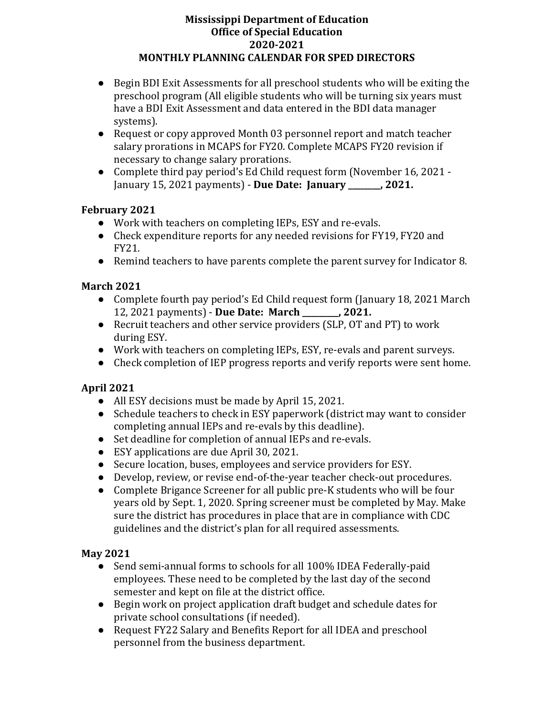- Begin BDI Exit Assessments for all preschool students who will be exiting the preschool program (All eligible students who will be turning six years must have a BDI Exit Assessment and data entered in the BDI data manager systems).
- Request or copy approved Month 03 personnel report and match teacher salary prorations in MCAPS for FY20. Complete MCAPS FY20 revision if necessary to change salary prorations.
- Complete third pay period's Ed Child request form (November 16, 2021 January 15, 2021 payments) - **Due Date: January \_\_\_\_\_\_\_\_, 2021.**

## **February 2021**

- Work with teachers on completing IEPs, ESY and re-evals.
- Check expenditure reports for any needed revisions for FY19, FY20 and FY21.
- Remind teachers to have parents complete the parent survey for Indicator 8.

## **March 2021**

- Complete fourth pay period's Ed Child request form (January 18, 2021 March 12, 2021 payments) - **Due Date: March \_\_\_\_\_\_\_\_\_, 2021.**
- Recruit teachers and other service providers (SLP, OT and PT) to work during ESY.
- Work with teachers on completing IEPs, ESY, re-evals and parent surveys.
- Check completion of IEP progress reports and verify reports were sent home.

# **April 2021**

- All ESY decisions must be made by April 15, 2021.
- Schedule teachers to check in ESY paperwork (district may want to consider completing annual IEPs and re-evals by this deadline).
- Set deadline for completion of annual IEPs and re-evals.
- ESY applications are due April 30, 2021.
- Secure location, buses, employees and service providers for ESY.
- Develop, review, or revise end-of-the-year teacher check-out procedures.
- Complete Brigance Screener for all public pre-K students who will be four years old by Sept. 1, 2020. Spring screener must be completed by May. Make sure the district has procedures in place that are in compliance with CDC guidelines and the district's plan for all required assessments.

## **May 2021**

- Send semi-annual forms to schools for all 100% IDEA Federally-paid employees. These need to be completed by the last day of the second semester and kept on file at the district office.
- Begin work on project application draft budget and schedule dates for private school consultations (if needed).
- Request FY22 Salary and Benefits Report for all IDEA and preschool personnel from the business department.